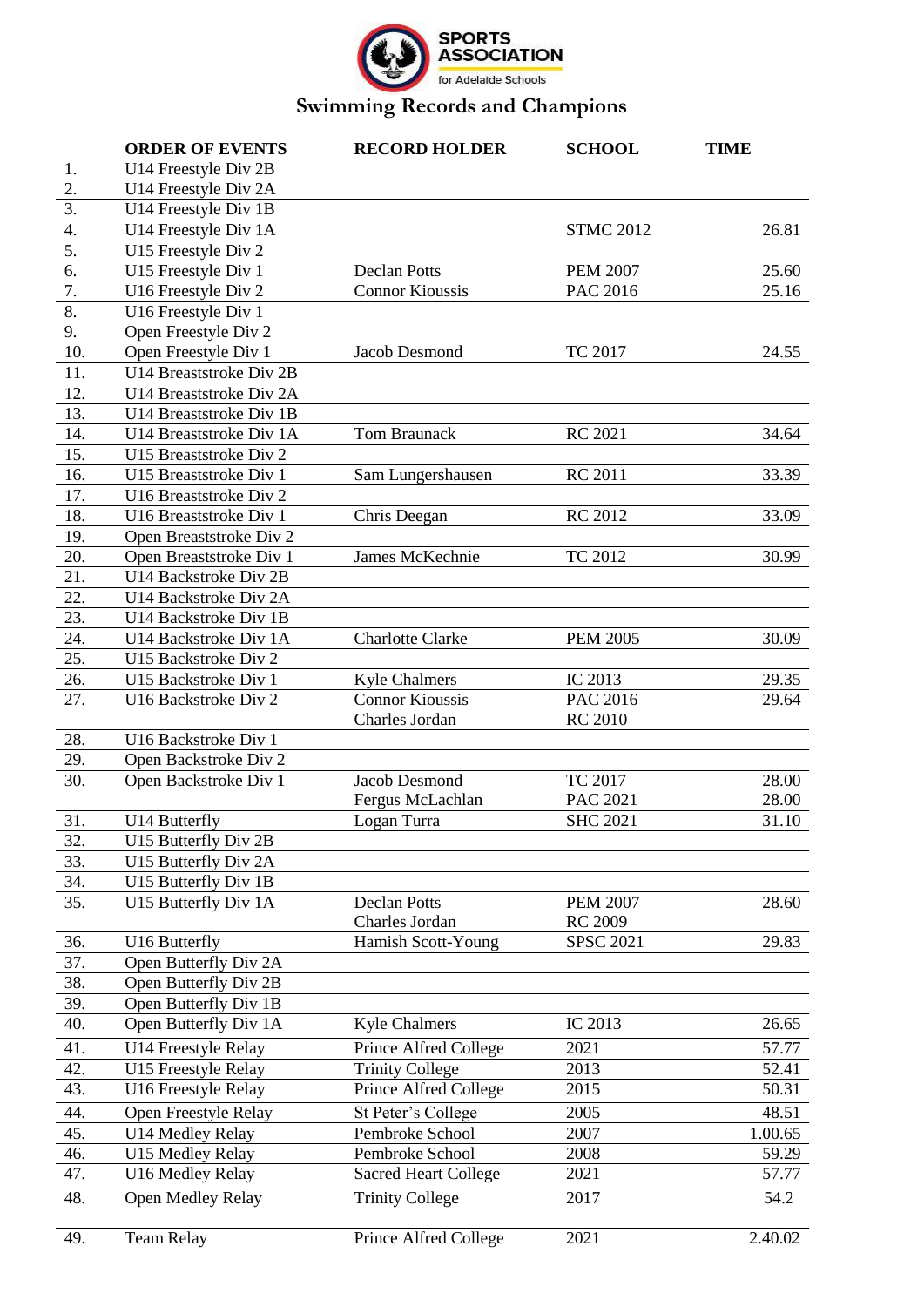

|                  | <b>ORDER OF EVENTS</b>                         | <b>RECORD HOLDER</b>        | <b>SCHOOL</b>    | <b>TIME</b> |
|------------------|------------------------------------------------|-----------------------------|------------------|-------------|
| 1.               | U14 Freestyle Div 2B                           |                             |                  |             |
| 2.               | U14 Freestyle Div 2A                           |                             |                  |             |
| $\overline{3}$ . | U14 Freestyle Div 1B                           |                             |                  |             |
| 4.               | U14 Freestyle Div 1A                           |                             | <b>STMC 2012</b> | 26.81       |
| 5.               | U15 Freestyle Div 2                            |                             |                  |             |
| 6.               | U15 Freestyle Div 1                            | <b>Declan Potts</b>         | <b>PEM 2007</b>  | 25.60       |
| 7.               | U16 Freestyle Div 2                            | <b>Connor Kioussis</b>      | PAC 2016         | 25.16       |
| 8.               | U16 Freestyle Div 1                            |                             |                  |             |
| 9.               | Open Freestyle Div 2                           |                             |                  |             |
| 10.              | Open Freestyle Div 1                           | Jacob Desmond               | <b>TC 2017</b>   | 24.55       |
| 11.              | U14 Breaststroke Div 2B                        |                             |                  |             |
| 12.              | U14 Breaststroke Div 2A                        |                             |                  |             |
| 13.              | U14 Breaststroke Div 1B                        |                             |                  |             |
| 14.              | U14 Breaststroke Div 1A                        | Tom Braunack                | <b>RC 2021</b>   | 34.64       |
| 15.              | U15 Breaststroke Div 2                         |                             |                  |             |
| 16.              | U15 Breaststroke Div 1                         | Sam Lungershausen           | <b>RC 2011</b>   | 33.39       |
| 17.              | U16 Breaststroke Div 2                         |                             |                  |             |
| 18.              | U16 Breaststroke Div 1                         | Chris Deegan                | <b>RC 2012</b>   | 33.09       |
| 19.              | Open Breaststroke Div 2                        |                             |                  |             |
| 20.              | Open Breaststroke Div 1                        | James McKechnie             | TC 2012          | 30.99       |
| 21.              | U14 Backstroke Div 2B                          |                             |                  |             |
| 22.              | U14 Backstroke Div 2A                          |                             |                  |             |
| 23.              | U14 Backstroke Div 1B                          |                             |                  |             |
| 24.              | U14 Backstroke Div 1A                          | <b>Charlotte Clarke</b>     | <b>PEM 2005</b>  | 30.09       |
| 25.              | U15 Backstroke Div 2                           |                             |                  |             |
| 26.              | U15 Backstroke Div 1                           | <b>Kyle Chalmers</b>        | IC 2013          | 29.35       |
| 27.              | U16 Backstroke Div 2                           | <b>Connor Kioussis</b>      | PAC 2016         | 29.64       |
|                  |                                                | Charles Jordan              | <b>RC 2010</b>   |             |
| 28.              | U16 Backstroke Div 1                           |                             |                  |             |
| 29.              | Open Backstroke Div 2                          |                             |                  |             |
| 30.              | Open Backstroke Div 1                          | Jacob Desmond               | TC 2017          | 28.00       |
|                  |                                                | Fergus McLachlan            | PAC 2021         | 28.00       |
| 31.              | U14 Butterfly                                  | Logan Turra                 | <b>SHC 2021</b>  | 31.10       |
| 32.              | U15 Butterfly Div 2B                           |                             |                  |             |
| 33.              | U15 Butterfly Div 2A                           |                             |                  |             |
| 34.              | U15 Butterfly Div 1B                           |                             |                  |             |
| 35.              | U15 Butterfly Div 1A                           | <b>Declan Potts</b>         | <b>PEM 2007</b>  | 28.60       |
|                  |                                                | Charles Jordan              | <b>RC 2009</b>   |             |
| 36.              | U16 Butterfly                                  | Hamish Scott-Young          | <b>SPSC 2021</b> | 29.83       |
| 37.<br>38.       | Open Butterfly Div 2A                          |                             |                  |             |
| 39.              | Open Butterfly Div 2B<br>Open Butterfly Div 1B |                             |                  |             |
| 40.              | Open Butterfly Div 1A                          | <b>Kyle Chalmers</b>        | IC 2013          | 26.65       |
|                  |                                                |                             |                  |             |
| 41.              | U14 Freestyle Relay                            | Prince Alfred College       | 2021             | 57.77       |
| 42.<br>43.       | U15 Freestyle Relay                            | <b>Trinity College</b>      | 2013             | 52.41       |
|                  | U16 Freestyle Relay                            | Prince Alfred College       | 2015             | 50.31       |
| 44.              | Open Freestyle Relay                           | St Peter's College          | 2005             | 48.51       |
| 45.              | U14 Medley Relay                               | Pembroke School             | 2007             | 1.00.65     |
| 46.              | U15 Medley Relay                               | Pembroke School             | 2008             | 59.29       |
| 47.              | U16 Medley Relay                               | <b>Sacred Heart College</b> | 2021             | 57.77       |
| 48.              | Open Medley Relay                              | <b>Trinity College</b>      | 2017             | 54.2        |
|                  |                                                |                             |                  |             |
| 49.              | <b>Team Relay</b>                              | Prince Alfred College       | 2021             | 2.40.02     |